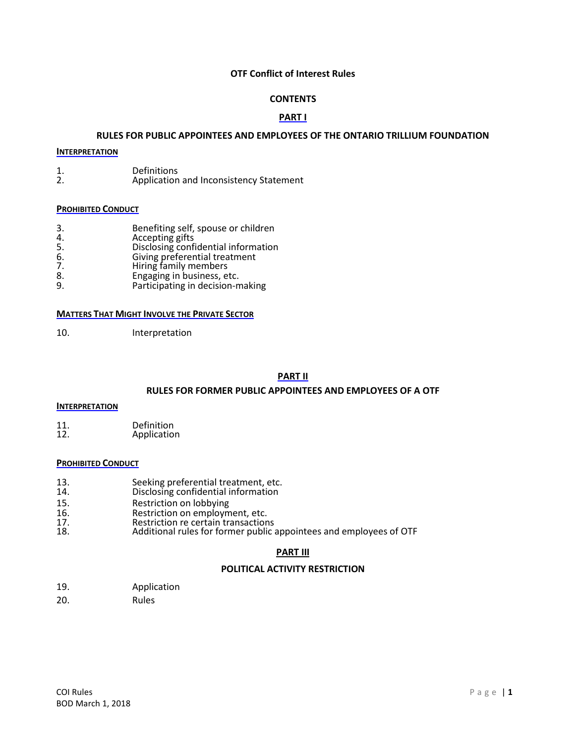# **OTF Conflict of Interest Rules**

# **CONTENTS**

# **PART I**

# **RULES FOR PUBLIC APPOINTEES AND EMPLOYEES OF THE ONTARIO TRILLIUM FOUNDATION**

# **INTERPRETATION**

1. Definitions<br>2. Application Application and Inconsistency Statement

# **PROHIBITED CONDUCT**

- 3. Benefiting self, spouse or children
- 4. Accepting gifts
- 5. Disclosing confidential information
- 6. Giving preferential treatment
- 7. Hiring family members
- 8. Engaging in business, etc.<br>9. Participating in decision-n
- 9. Participating in decision-making

#### **MATTERS THAT MIGHT INVOLVE THE PRIVATE SECTOR**

10. Interpretation

# **PART II**

# **RULES FOR FORMER PUBLIC APPOINTEES AND EMPLOYEES OF A OTF**

#### **INTERPRETATION**

11. Definition<br>12. Application **Application** 

# **PROHIBITED CONDUCT**

- 13. Seeking preferential treatment, etc.<br>14. Disclosing confidential information
- Disclosing confidential information
- 15. Restriction on lobbying<br>16. Restriction on employm
- 16. **Restriction on employment, etc.**<br>17. Restriction re certain transaction
- 17. Restriction re certain transactions<br>18. Additional rules for former public
- Additional rules for former public appointees and employees of OTF

# **PART III**

# **POLITICAL ACTIVITY RESTRICTION**

- 19. Application
- 20. Rules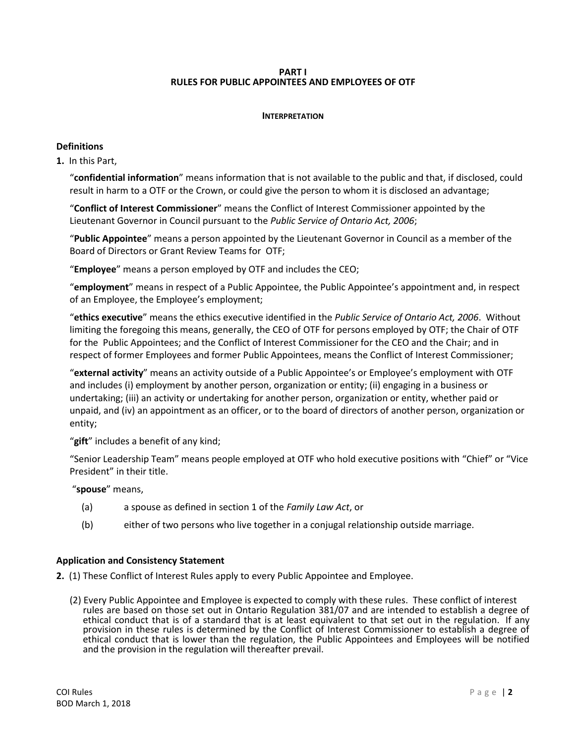# **PART I RULES FOR PUBLIC APPOINTEES AND EMPLOYEES OF OTF**

# **INTERPRETATION**

# **Definitions**

**[1.](http://www.e-laws.gov.on.ca/html/regs/french/elaws_regs_070381_f.htm#s1)** In this Part,

"**confidential information**" means information that is not available to the public and that, if disclosed, could result in harm to a OTF or the Crown, or could give the person to whom it is disclosed an advantage;

"**Conflict of Interest Commissioner**" means the Conflict of Interest Commissioner appointed by the Lieutenant Governor in Council pursuant to the *Public Service of Ontario Act, 2006*;

"**Public Appointee**" means a person appointed by the Lieutenant Governor in Council as a member of the Board of Directors or Grant Review Teams for OTF;

"**Employee**" means a person employed by OTF and includes the CEO;

"**employment**" means in respect of a Public Appointee, the Public Appointee's appointment and, in respect of an Employee, the Employee's employment;

"**ethics executive**" means the ethics executive identified in the *Public Service of Ontario Act, 2006*. Without limiting the foregoing this means, generally, the CEO of OTF for persons employed by OTF; the Chair of OTF for the Public Appointees; and the Conflict of Interest Commissioner for the CEO and the Chair; and in respect of former Employees and former Public Appointees, means the Conflict of Interest Commissioner;

"**external activity**" means an activity outside of a Public Appointee's or Employee's employment with OTF and includes (i) employment by another person, organization or entity; (ii) engaging in a business or undertaking; (iii) an activity or undertaking for another person, organization or entity, whether paid or unpaid, and (iv) an appointment as an officer, or to the board of directors of another person, organization or entity;

"**gift**" includes a benefit of any kind;

"Senior Leadership Team" means people employed at OTF who hold executive positions with "Chief" or "Vice President" in their title.

# "**spouse**" means,

- (a) a spouse as defined in section 1 of the *Family Law Act*, or
- (b) either of two persons who live together in a conjugal relationship outside marriage.

# **Application and Consistency Statement**

**[2.](http://www.e-laws.gov.on.ca/html/regs/french/elaws_regs_070381_f.htm#s2)** (1) These Conflict of Interest Rules apply to every Public Appointee and Employee.

(2) Every Public Appointee and Employee is expected to comply with these rules. These conflict of interest rules are based on those set out in Ontario Regulation 381/07 and are intended to establish a degree of ethical conduct that is of a standard that is at least equivalent to that set out in the regulation. If any provision in these rules is determined by the Conflict of Interest Commissioner to establish a degree of ethical conduct that is lower than the regulation, the Public Appointees and Employees will be notified and the provision in the regulation will thereafter prevail.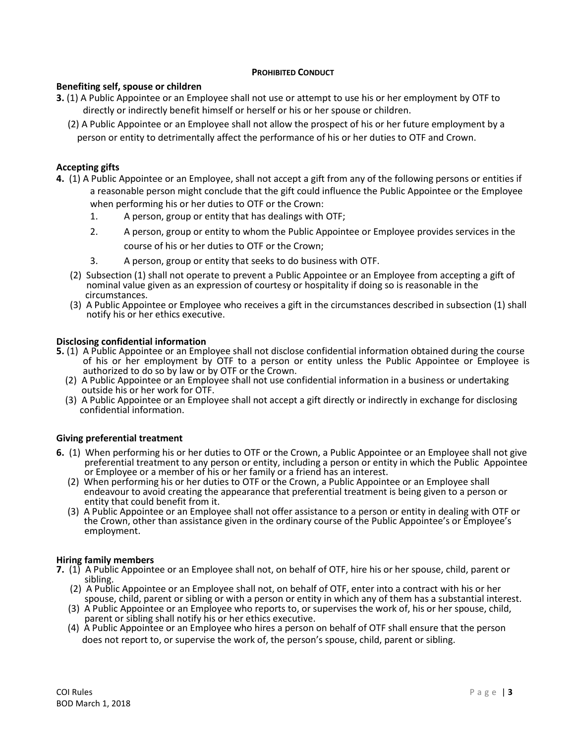# **PROHIBITED CONDUCT**

# **Benefiting self, spouse or children**

- **3.** (1) A Public Appointee or an Employee shall not use or attempt to use his or her employment by OTF to directly or indirectly benefit himself or herself or his or her spouse or children.
	- (2) A Public Appointee or an Employee shall not allow the prospect of his or her future employment by a person or entity to detrimentally affect the performance of his or her duties to OTF and Crown.

# **Accepting gifts**

- **4.** (1) A Public Appointee or an Employee, shall not accept a gift from any of the following persons or entities if a reasonable person might conclude that the gift could influence the Public Appointee or the Employee when performing his or her duties to OTF or the Crown:
	- 1. A person, group or entity that has dealings with OTF;
	- 2. A person, group or entity to whom the Public Appointee or Employee provides services in the course of his or her duties to OTF or the Crown;
	- 3. A person, group or entity that seeks to do business with OTF.
	- [\(2\)](http://www.e-laws.gov.on.ca/html/regs/french/elaws_regs_070381_f.htm#s4s2) Subsection (1) shall not operate to prevent a Public Appointee or an Employee from accepting a gift of nominal value given as an expression of courtesy or hospitality if doing so is reasonable in the circumstances.
	- [\(3\)](http://www.e-laws.gov.on.ca/html/regs/french/elaws_regs_070381_f.htm#s4s3) A Public Appointee or Employee who receives a gift in the circumstances described in subsection (1) shall notify his or her ethics executive.

# **Disclosing confidential information**

- **5.** [\(1\)](http://www.e-laws.gov.on.ca/html/regs/french/elaws_regs_070381_f.htm#s5s1) A Public Appointee or an Employee shall not disclose confidential information obtained during the course of his or her employment by OTF to a person or entity unless the Public Appointee or Employee is authorized to do so by law or by OTF or the Crown.
	- [\(2\)](http://www.e-laws.gov.on.ca/html/regs/french/elaws_regs_070381_f.htm#s5s2) A Public Appointee or an Employee shall not use confidential information in a business or undertaking outside his or her work for OTF.
	- [\(3\)](http://www.e-laws.gov.on.ca/html/regs/french/elaws_regs_070381_f.htm#s5s3) A Public Appointee or an Employee shall not accept a gift directly or indirectly in exchange for disclosing confidential information.

# **Giving preferential treatment**

- **6.** [\(1\)](http://www.e-laws.gov.on.ca/html/regs/french/elaws_regs_070381_f.htm#s6s1) When performing his or her duties to OTF or the Crown, a Public Appointee or an Employee shall not give preferential treatment to any person or entity, including a person or entity in which the Public Appointee or Employee or a member of his or her family or a friend has an interest.
	- [\(2\)](http://www.e-laws.gov.on.ca/html/regs/french/elaws_regs_070381_f.htm#s6s2) When performing his or her duties to OTF or the Crown, a Public Appointee or an Employee shall endeavour to avoid creating the appearance that preferential treatment is being given to a person or entity that could benefit from it.
	- [\(3\)](http://www.e-laws.gov.on.ca/html/regs/french/elaws_regs_070381_f.htm#s6s3) A Public Appointee or an Employee shall not offer assistance to a person or entity in dealing with OTF or the Crown, other than assistance given in the ordinary course of the Public Appointee's or Employee's employment.

# **Hiring family members**

- **7.** [\(1\)](http://www.e-laws.gov.on.ca/html/regs/french/elaws_regs_070381_f.htm#s7s1) A Public Appointee or an Employee shall not, on behalf of OTF, hire his or her spouse, child, parent or sibling.
	- [\(2\)](http://www.e-laws.gov.on.ca/html/regs/french/elaws_regs_070381_f.htm#s7s2) A Public Appointee or an Employee shall not, on behalf of OTF, enter into a contract with his or her spouse, child, parent or sibling or with a person or entity in which any of them has a substantial interest.
	- (3) A Public Appointee or an Employee who reports to, or supervises the work of, his or her spouse, child, parent or sibling shall notify his or her ethics executive.
	- [\(4\)](http://www.e-laws.gov.on.ca/html/regs/french/elaws_regs_070381_f.htm#s7s3) A Public Appointee or an Employee who hires a person on behalf of OTF shall ensure that the person does not report to, or supervise the work of, the person's spouse, child, parent or sibling.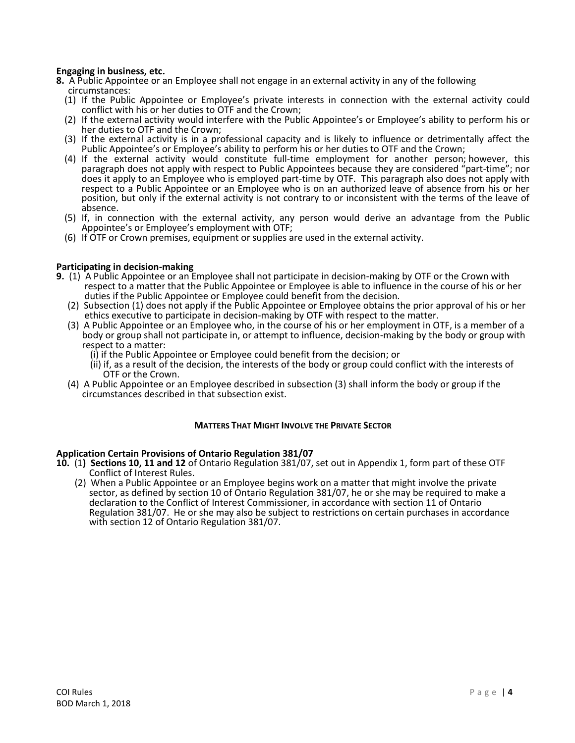# **Engaging in business, etc.**

- **[8.](http://www.e-laws.gov.on.ca/html/regs/french/elaws_regs_070381_f.htm#s8)** A Public Appointee or an Employee shall not engage in an external activity in any of the following circumstances:
	- (1) If the Public Appointee or Employee's private interests in connection with the external activity could conflict with his or her duties to OTF and the Crown;
	- (2) If the external activity would interfere with the Public Appointee's or Employee's ability to perform his or her duties to OTF and the Crown;
	- (3) If the external activity is in a professional capacity and is likely to influence or detrimentally affect the Public Appointee's or Employee's ability to perform his or her duties to OTF and the Crown;
	- (4) If the external activity would constitute full-time employment for another person; however, this paragraph does not apply with respect to Public Appointees because they are considered "part-time"; nor does it apply to an Employee who is employed part-time by OTF. This paragraph also does not apply with respect to a Public Appointee or an Employee who is on an authorized leave of absence from his or her position, but only if the external activity is not contrary to or inconsistent with the terms of the leave of absence.
	- (5) If, in connection with the external activity, any person would derive an advantage from the Public Appointee's or Employee's employment with OTF;
	- (6) If OTF or Crown premises, equipment or supplies are used in the external activity.

#### **Participating in decision-making**

- **9.** [\(1\)](http://www.e-laws.gov.on.ca/html/regs/french/elaws_regs_070381_f.htm#s9s1) A Public Appointee or an Employee shall not participate in decision-making by OTF or the Crown with respect to a matter that the Public Appointee or Employee is able to influence in the course of his or her duties if the Public Appointee or Employee could benefit from the decision.
	- [\(2\)](http://www.e-laws.gov.on.ca/html/regs/french/elaws_regs_070381_f.htm#s9s2) Subsection (1) does not apply if the Public Appointee or Employee obtains the prior approval of his or her ethics executive to participate in decision-making by OTF with respect to the matter.
	- [\(3\)](http://www.e-laws.gov.on.ca/html/regs/french/elaws_regs_070381_f.htm#s9s3) A Public Appointee or an Employee who, in the course of his or her employment in OTF, is a member of a body or group shall not participate in, or attempt to influence, decision-making by the body or group with respect to a matter:
		- (i) if the Public Appointee or Employee could benefit from the decision; or
		- (ii) if, as a result of the decision, the interests of the body or group could conflict with the interests of OTF or the Crown.
	- [\(4\)](http://www.e-laws.gov.on.ca/html/regs/french/elaws_regs_070381_f.htm#s9s4) A Public Appointee or an Employee described in subsection (3) shall inform the body or group if the circumstances described in that subsection exist.

# **MATTERS THAT MIGHT INVOLVE THE PRIVATE SECTOR**

#### **Application Certain Provisions of Ontario Regulation 381/07**

- **10.** (1**) Sections 10, 11 and 12** of Ontario Regulation 381/07, set out in Appendix 1, form part of these OTF Conflict of Interest Rules.
	- (2) When a Public Appointee or an Employee begins work on a matter that might involve the private sector, as defined by section 10 of Ontario Regulation 381/07, he or she may be required to make a declaration to the Conflict of Interest Commissioner, in accordance with section 11 of Ontario Regulation 381/07. He or she may also be subject to restrictions on certain purchases in accordance with section 12 of Ontario Regulation 381/07.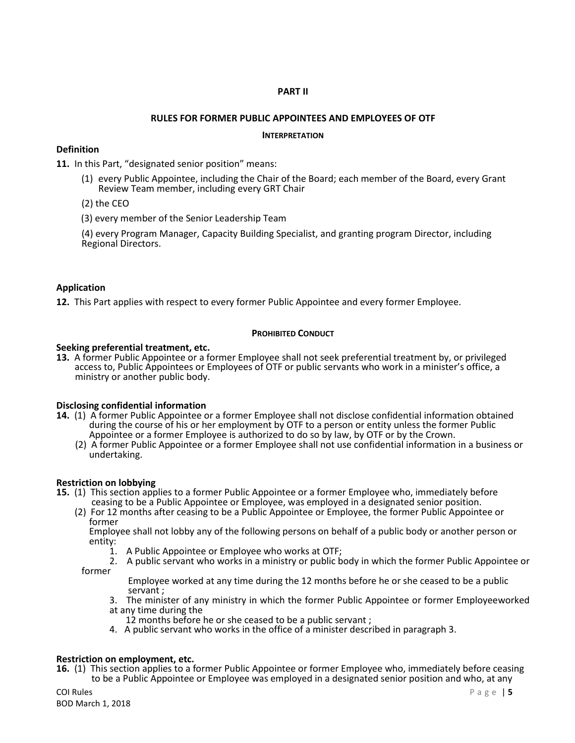# **PART II**

# **RULES FOR FORMER PUBLIC APPOINTEES AND EMPLOYEES OF OTF**

### **INTERPRETATION**

# **Definition**

**[11.](http://www.e-laws.gov.on.ca/html/regs/french/elaws_regs_070381_f.htm#s14)** In this Part, "designated senior position" means:

- (1) every Public Appointee, including the Chair of the Board; each member of the Board, every Grant Review Team member, including every GRT Chair
- (2) the CEO

(3) every member of the Senior Leadership Team

(4) every Program Manager, Capacity Building Specialist, and granting program Director, including Regional Directors.

# **Application**

**[12.](http://www.e-laws.gov.on.ca/html/regs/french/elaws_regs_070381_f.htm#s15s1)** This Part applies with respect to every former Public Appointee and every former Employee.

# **PROHIBITED CONDUCT**

# **Seeking preferential treatment, etc.**

**[13.](http://www.e-laws.gov.on.ca/html/regs/french/elaws_regs_070381_f.htm#s16)** A former Public Appointee or a former Employee shall not seek preferential treatment by, or privileged access to, Public Appointees or Employees of OTF or public servants who work in a minister's office, a ministry or another public body.

# **Disclosing confidential information**

- **[14.](http://www.e-laws.gov.on.ca/html/regs/french/elaws_regs_070381_f.htm#s17s1)** (1) A former Public Appointee or a former Employee shall not disclose confidential information obtained during the course of his or her employment by OTF to a person or entity unless the former Public Appointee or a former Employee is authorized to do so by law, by OTF or by the Crown.
	- [\(2\)](http://www.e-laws.gov.on.ca/html/regs/french/elaws_regs_070381_f.htm#s17s2) A former Public Appointee or a former Employee shall not use confidential information in a business or undertaking.

# **Restriction on lobbying**

- **[15.](http://www.e-laws.gov.on.ca/html/regs/french/elaws_regs_070381_f.htm#s18s1)** (1) This section applies to a former Public Appointee or a former Employee who, immediately before
	- ceasing to be a Public Appointee or Employee, was employed in a designated senior position.
	- [\(2\)](http://www.e-laws.gov.on.ca/html/regs/french/elaws_regs_070381_f.htm#s18s2) For 12 months after ceasing to be a Public Appointee or Employee, the former Public Appointee or former

 Employee shall not lobby any of the following persons on behalf of a public body or another person or entity:<br>1.

- 1. A Public Appointee or Employee who works at OTF;
- 2. A public servant who works in a ministry or public body in which the former Public Appointee or former

 Employee worked at any time during the 12 months before he or she ceased to be a public servant ;

- 3. The minister of any ministry in which the former Public Appointee or former Employeeworked at any time during the
- 12 months before he or she ceased to be a public servant ;
- 4. A public servant who works in the office of a minister described in paragraph 3.

# **Restriction on employment, etc.**

**[16.](http://www.e-laws.gov.on.ca/html/regs/french/elaws_regs_070381_f.htm#s19s1)** (1) This section applies to a former Public Appointee or former Employee who, immediately before ceasing to be a Public Appointee or Employee was employed in a designated senior position and who, at any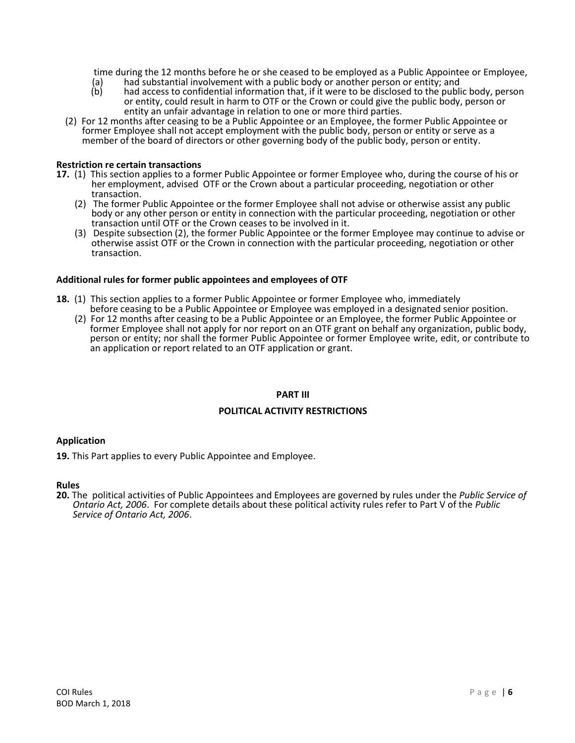time during the 12 months before he or she ceased to be employed as a Public Appointee or Employee,<br>(a) had substantial involvement with a public body or another person or entity; and

- (a) had substantial involvement with a public body or another person or entity; and<br>(b) had access to confidential information that, if it were to be disclosed to the publ
- had access to confidential information that, if it were to be disclosed to the public body, person or entity, could result in harm to OTF or the Crown or could give the public body, person or entity an unfair advantage in relation to one or more third parties.
- [\(2\)](http://www.e-laws.gov.on.ca/html/regs/french/elaws_regs_070381_f.htm#s19s2) For 12 months after ceasing to be a Public Appointee or an Employee, the former Public Appointee or former Employee shall not accept employment with the public body, person or entity or serve as a member of the board of directors or other governing body of the public body, person or entity.

# **Restriction re certain transactions**

- **[17.](http://www.e-laws.gov.on.ca/html/regs/french/elaws_regs_070381_f.htm#s20s1)** (1) This section applies to a former Public Appointee or former Employee who, during the course of his or her employment, advised OTF or the Crown about a particular proceeding, negotiation or other transaction.
	- [\(2\)](http://www.e-laws.gov.on.ca/html/regs/french/elaws_regs_070381_f.htm#s20s2) The former Public Appointee or the former Employee shall not advise or otherwise assist any public body or any other person or entity in connection with the particular proceeding, negotiation or other transaction until OTF or the Crown ceases to be involved in it.
	- [\(3\)](http://www.e-laws.gov.on.ca/html/regs/french/elaws_regs_070381_f.htm#s20s3) Despite subsection (2), the former Public Appointee or the former Employee may continue to advise or otherwise assist OTF or the Crown in connection with the particular proceeding, negotiation or other transaction.

# **Additional rules for former public appointees and employees of OTF**

- **18.** [\(1\)](http://www.e-laws.gov.on.ca/html/regs/french/elaws_regs_070381_f.htm#s20s1) This section applies to a former Public Appointee or former Employee who, immediately before ceasing to be a Public Appointee or Employee was employed in a designated senior position.
	- [\(2\)](http://www.e-laws.gov.on.ca/html/regs/french/elaws_regs_070381_f.htm#s20s2) For 12 months after ceasing to be a Public Appointee or an Employee, the former Public Appointee or former Employee shall not apply for nor report on an OTF grant on behalf any organization, public body, person or entity; nor shall the former Public Appointee or former Employee write, edit, or contribute to an application or report related to an OTF application or grant.

# **PART III**

# **POLITICAL ACTIVITY RESTRICTIONS**

# **Application**

**19.** This Part applies to every Public Appointee and Employee.

### **Rules**

**20.** The political activities of Public Appointees and Employees are governed by rules under the *Public Service of Ontario Act, 2006*. For complete details about these political activity rules refer to Part V of the *Public Service of Ontario Act, 2006*.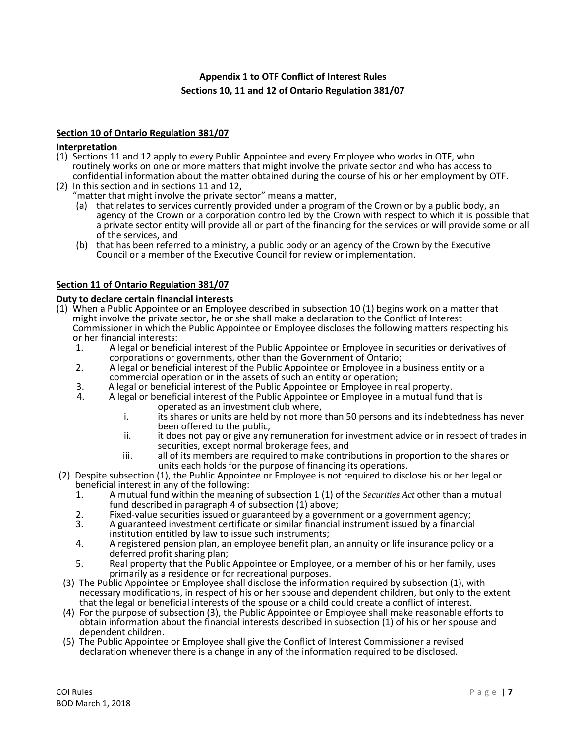# **Appendix 1 to OTF Conflict of Interest Rules Sections 10, 11 and 12 of Ontario Regulation 381/07**

# **Section 10 of Ontario Regulation 381/07**

# **Interpretation**

- [\(1\)](http://www.e-laws.gov.on.ca/html/regs/french/elaws_regs_070381_f.htm#s10s1) Sections 11 and 12 apply to every Public Appointee and every Employee who works in OTF, who routinely works on one or more matters that might involve the private sector and who has access to confidential information about the matter obtained during the course of his or her employment by OTF.
- [\(2\)](http://www.e-laws.gov.on.ca/html/regs/french/elaws_regs_070381_f.htm#s10s2) In this section and in sections 11 and 12,
	- "matter that might involve the private sector" means a matter,
		- (a) that relates to services currently provided under a program of the Crown or by a public body, an agency of the Crown or a corporation controlled by the Crown with respect to which it is possible that a private sector entity will provide all or part of the financing for the services or will provide some or all of the services, and
		- (b) that has been referred to a ministry, a public body or an agency of the Crown by the Executive Council or a member of the Executive Council for review or implementation.

# **Section 11 of Ontario Regulation 381/07**

# **Duty to declare certain financial interests**

- [\(1\)](http://www.e-laws.gov.on.ca/html/regs/french/elaws_regs_070381_f.htm#s11s1) When a Public Appointee or an Employee described in subsection 10 (1) begins work on a matter that might involve the private sector, he or she shall make a declaration to the Conflict of Interest Commissioner in which the Public Appointee or Employee discloses the following matters respecting his or her financial interests:
	- 1. A legal or beneficial interest of the Public Appointee or Employee in securities or derivatives of corporations or governments, other than the Government of Ontario;
	- 2. A legal or beneficial interest of the Public Appointee or Employee in a business entity or a commercial operation or in the assets of such an entity or operation;
	- 3. A legal or beneficial interest of the Public Appointee or Employee in real property.
		- 4. A legal or beneficial interest of the Public Appointee or Employee in a mutual fund that is operated as an investment club where,
			- i. its shares or units are held by not more than 50 persons and its indebtedness has never been offered to the public,
			- ii. it does not pay or give any remuneration for investment advice or in respect of trades in securities, except normal brokerage fees, and
			- iii. all of its members are required to make contributions in proportion to the shares or units each holds for the purpose of financing its operations.
- [\(2\)](http://www.e-laws.gov.on.ca/html/regs/french/elaws_regs_070381_f.htm#s11s2) Despite subsection (1), the Public Appointee or Employee is not required to disclose his or her legal or beneficial interest in any of the following:<br>1. A mutual fund within the meaning
	- 1. A mutual fund within the meaning of subsection 1 (1) of the *Securities Act* other than a mutual fund described in paragraph 4 of subsection (1) above;
	- 2. Fixed-value securities issued or guaranteed by a government or a government agency;<br>3. A guaranteed investment certificate or similar financial instrument issued by a financia
	- 3. A guaranteed investment certificate or similar financial instrument issued by a financial institution entitled by law to issue such instruments;
	- 4. A registered pension plan, an employee benefit plan, an annuity or life insurance policy or a deferred profit sharing plan;
	- 5. Real property that the Public Appointee or Employee, or a member of his or her family, uses primarily as a residence or for recreational purposes.
- [\(3\)](http://www.e-laws.gov.on.ca/html/regs/french/elaws_regs_070381_f.htm#s11s3) The Public Appointee or Employee shall disclose the information required by subsection (1), with necessary modifications, in respect of his or her spouse and dependent children, but only to the extent that the legal or beneficial interests of the spouse or a child could create a conflict of interest.
- [\(4\)](http://www.e-laws.gov.on.ca/html/regs/french/elaws_regs_070381_f.htm#s11s4) For the purpose of subsection (3), the Public Appointee or Employee shall make reasonable efforts to obtain information about the financial interests described in subsection (1) of his or her spouse and dependent children.
- [\(5\)](http://www.e-laws.gov.on.ca/html/regs/french/elaws_regs_070381_f.htm#s11s5) The Public Appointee or Employee shall give the Conflict of Interest Commissioner a revised declaration whenever there is a change in any of the information required to be disclosed.